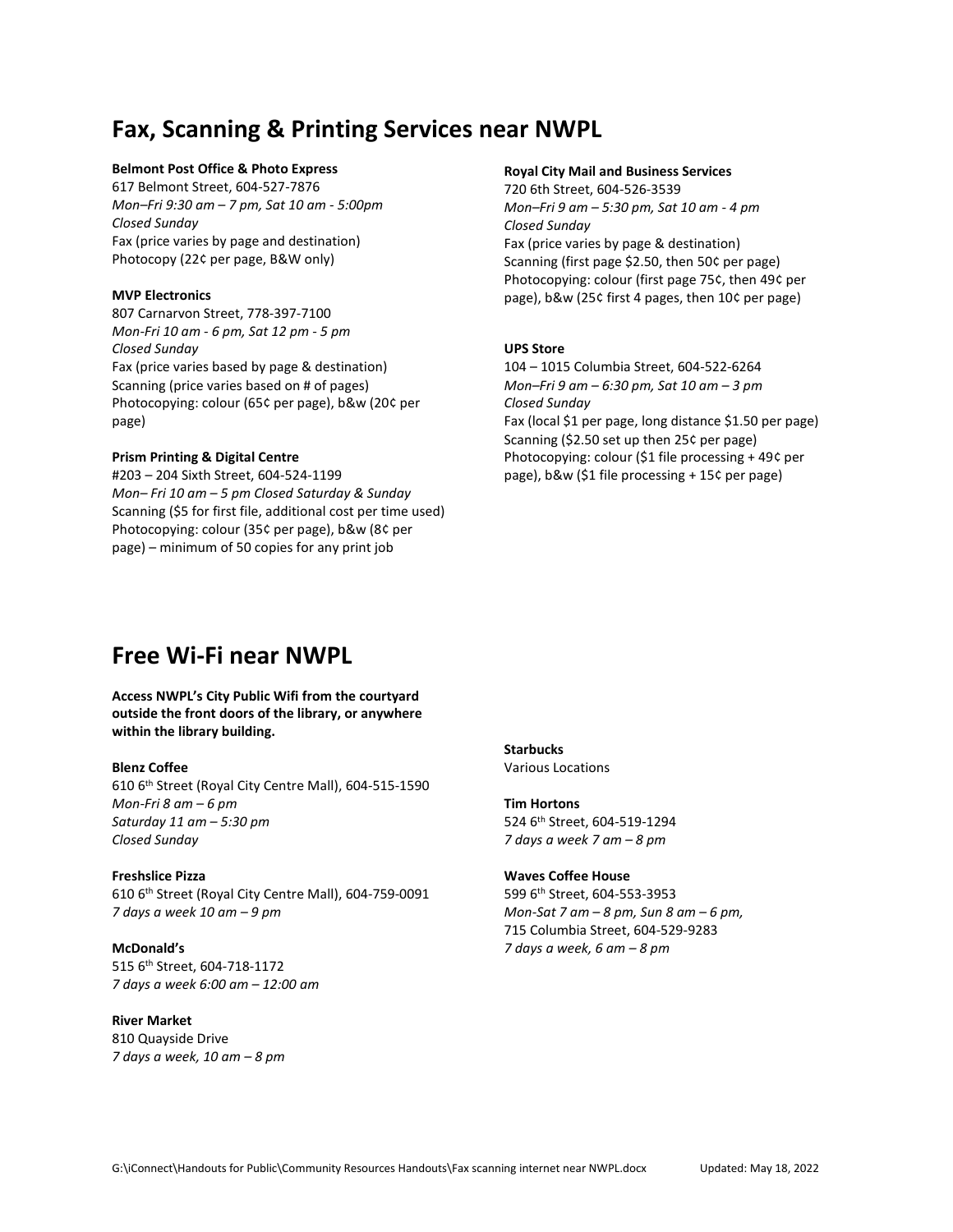# **Fax, Scanning & Printing Services near NWPL**

### **Belmont Post Office & Photo Express**

617 Belmont Street, 604-527-7876 *Mon–Fri 9:30 am – 7 pm, Sat 10 am - 5:00pm Closed Sunday* Fax (price varies by page and destination) Photocopy (22¢ per page, B&W only)

## **MVP Electronics**

807 Carnarvon Street, 778-397-7100 *Mon-Fri 10 am - 6 pm, Sat 12 pm - 5 pm Closed Sunday* Fax (price varies based by page & destination) Scanning (price varies based on # of pages) Photocopying: colour (65¢ per page), b&w (20¢ per page)

# **Prism Printing & Digital Centre**

#203 – 204 Sixth Street, 604-524-1199 *Mon– Fri 10 am – 5 pm Closed Saturday & Sunday* Scanning (\$5 for first file, additional cost per time used) Photocopying: colour (35¢ per page), b&w (8¢ per page) – minimum of 50 copies for any print job

## **Royal City Mail and Business Services**

720 6th Street, 604-526-3539 *Mon–Fri 9 am – 5:30 pm, Sat 10 am - 4 pm Closed Sunday* Fax (price varies by page & destination) Scanning (first page \$2.50, then 50¢ per page) Photocopying: colour (first page 75¢, then 49¢ per page), b&w (25¢ first 4 pages, then 10¢ per page)

## **UPS Store**

104 – 1015 Columbia Street, 604-522-6264 *Mon–Fri 9 am – 6:30 pm, Sat 10 am – 3 pm Closed Sunday* Fax (local \$1 per page, long distance \$1.50 per page) Scanning (\$2.50 set up then 25¢ per page) Photocopying: colour (\$1 file processing + 49¢ per page), b&w (\$1 file processing + 15¢ per page)

# **Free Wi-Fi near NWPL**

## **Access NWPL's City Public Wifi from the courtyard outside the front doors of the library, or anywhere within the library building.**

#### **Blenz Coffee**

610 6th Street (Royal City Centre Mall), 604-515-1590 *Mon-Fri 8 am – 6 pm Saturday 11 am – 5:30 pm Closed Sunday*

#### **Freshslice Pizza**

610 6th Street (Royal City Centre Mall), 604-759-0091 *7 days a week 10 am – 9 pm*

**McDonald's** 515 6th Street, 604-718-1172 *7 days a week 6:00 am – 12:00 am*

**River Market** 810 Quayside Drive *7 days a week, 10 am – 8 pm*

**Starbucks** Various Locations

**Tim Hortons** 524 6th Street, 604-519-1294 *7 days a week 7 am – 8 pm*

# **Waves Coffee House** 599 6th Street, 604-553-3953 *Mon-Sat 7 am – 8 pm, Sun 8 am – 6 pm,*  715 Columbia Street, 604-529-9283 *7 days a week, 6 am – 8 pm*